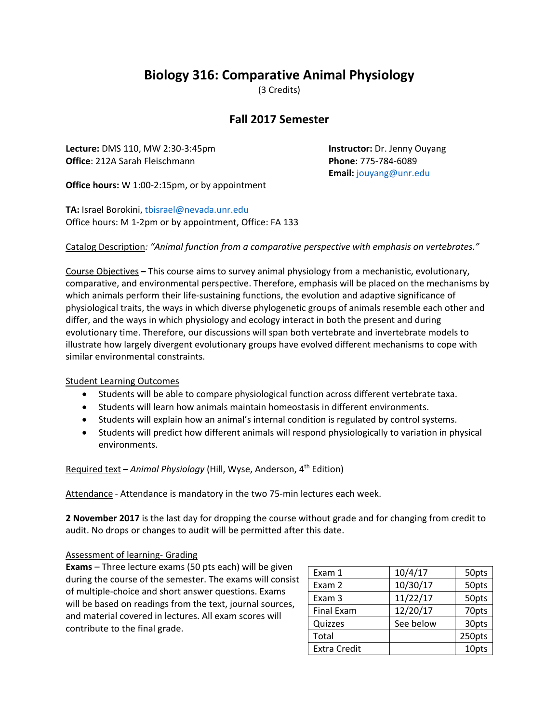## **Biology 316: Comparative Animal Physiology**

(3 Credits)

## **Fall 2017 Semester**

**Lecture:** DMS 110, MW 2:30-3:45pm **Instructor:** Dr. Jenny Ouyang **Office**: 212A Sarah Fleischmann **Phone**: 775‐784‐6089

**Email:** [jouyang@unr.edu](mailto:jouyang@unr.edu)

**Office hours:** W 1:00-2:15pm, or by appointment

**TA:** Israel Borokini, [tbisrael@nevada.unr.edu](mailto:tbisrael@nevada.unr.edu) Office hours: M 1-2pm or by appointment, Office: FA 133

Catalog Description*: "Animal function from a comparative perspective with emphasis on vertebrates."*

Course Objectives **–** This course aims to survey animal physiology from a mechanistic, evolutionary, comparative, and environmental perspective. Therefore, emphasis will be placed on the mechanisms by which animals perform their life-sustaining functions, the evolution and adaptive significance of physiological traits, the ways in which diverse phylogenetic groups of animals resemble each other and differ, and the ways in which physiology and ecology interact in both the present and during evolutionary time. Therefore, our discussions will span both vertebrate and invertebrate models to illustrate how largely divergent evolutionary groups have evolved different mechanisms to cope with similar environmental constraints.

## Student Learning Outcomes

- Students will be able to compare physiological function across different vertebrate taxa.
- Students will learn how animals maintain homeostasis in different environments.
- Students will explain how an animal's internal condition is regulated by control systems.
- Students will predict how different animals will respond physiologically to variation in physical environments.

Required text - Animal Physiology (Hill, Wyse, Anderson, 4<sup>th</sup> Edition)

Attendance - Attendance is mandatory in the two 75-min lectures each week.

**2 November 2017** is the last day for dropping the course without grade and for changing from credit to audit. No drops or changes to audit will be permitted after this date.

## Assessment of learning- Grading

**Exams** – Three lecture exams (50 pts each) will be given during the course of the semester. The exams will consist of multiple‐choice and short answer questions. Exams will be based on readings from the text, journal sources, and material covered in lectures. All exam scores will contribute to the final grade.

| Exam 1              | 10/4/17   | 50pts  |
|---------------------|-----------|--------|
| Exam 2              | 10/30/17  | 50pts  |
| Exam 3              | 11/22/17  | 50pts  |
| <b>Final Exam</b>   | 12/20/17  | 70pts  |
| Quizzes             | See below | 30pts  |
| Total               |           | 250pts |
| <b>Extra Credit</b> |           | 10pts  |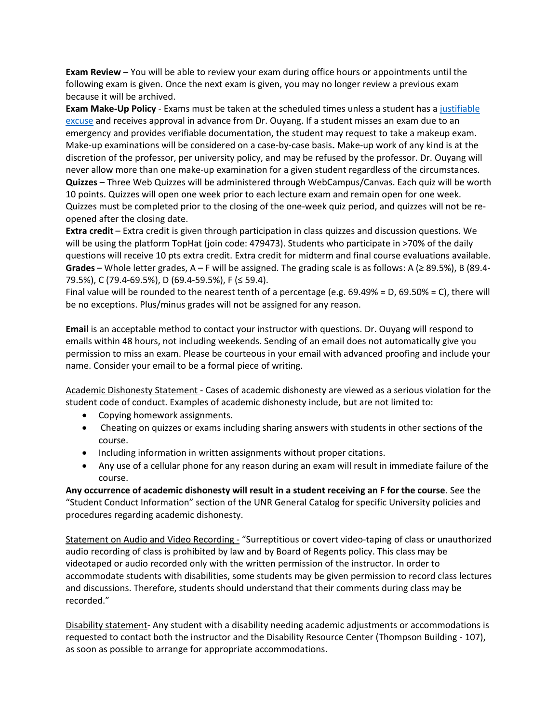**Exam Review** – You will be able to review your exam during office hours or appointments until the following exam is given. Once the next exam is given, you may no longer review a previous exam because it will be archived.

**Exam Make‐Up Policy** ‐ Exams must be taken at the scheduled times unless a student has a [justifiable](http://www.unr.edu/criminal-justice/student-resources/policies/missed-exams)  [excuse](http://www.unr.edu/criminal-justice/student-resources/policies/missed-exams) and receives approval in advance from Dr. Ouyang. If a student misses an exam due to an emergency and provides verifiable documentation, the student may request to take a makeup exam. Make‐up examinations will be considered on a case‐by‐case basis**.** Make‐up work of any kind is at the discretion of the professor, per university policy, and may be refused by the professor. Dr. Ouyang will never allow more than one make‐up examination for a given student regardless of the circumstances. **Quizzes** – Three Web Quizzes will be administered through WebCampus/Canvas. Each quiz will be worth 10 points. Quizzes will open one week prior to each lecture exam and remain open for one week. Quizzes must be completed prior to the closing of the one‐week quiz period, and quizzes will not be re‐ opened after the closing date.

**Extra credit** – Extra credit is given through participation in class quizzes and discussion questions. We will be using the platform TopHat (join code: 479473). Students who participate in >70% of the daily questions will receive 10 pts extra credit. Extra credit for midterm and final course evaluations available. **Grades** – Whole letter grades, A – F will be assigned. The grading scale is as follows: A (≥ 89.5%), B (89.4‐ 79.5%), C (79.4‐69.5%), D (69.4‐59.5%), F (≤ 59.4).

Final value will be rounded to the nearest tenth of a percentage (e.g. 69.49% = D, 69.50% = C), there will be no exceptions. Plus/minus grades will not be assigned for any reason.

**Email** is an acceptable method to contact your instructor with questions. Dr. Ouyang will respond to emails within 48 hours, not including weekends. Sending of an email does not automatically give you permission to miss an exam. Please be courteous in your email with advanced proofing and include your name. Consider your email to be a formal piece of writing.

Academic Dishonesty Statement ‐ Cases of academic dishonesty are viewed as a serious violation for the student code of conduct. Examples of academic dishonesty include, but are not limited to:

- Copying homework assignments.
- Cheating on quizzes or exams including sharing answers with students in other sections of the course.
- Including information in written assignments without proper citations.
- Any use of a cellular phone for any reason during an exam will result in immediate failure of the course.

**Any occurrence of academic dishonesty will result in a student receiving an F for the course**. See the "Student Conduct Information" section of the UNR General Catalog for specific University policies and procedures regarding academic dishonesty.

Statement on Audio and Video Recording - "Surreptitious or covert video-taping of class or unauthorized audio recording of class is prohibited by law and by Board of Regents policy. This class may be videotaped or audio recorded only with the written permission of the instructor. In order to accommodate students with disabilities, some students may be given permission to record class lectures and discussions. Therefore, students should understand that their comments during class may be recorded."

Disability statement- Any student with a disability needing academic adjustments or accommodations is requested to contact both the instructor and the Disability Resource Center (Thompson Building ‐ 107), as soon as possible to arrange for appropriate accommodations.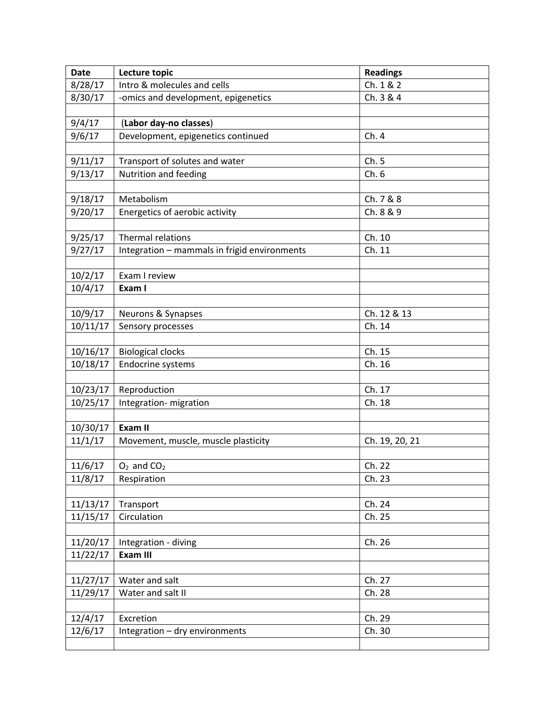| <b>Date</b> | Lecture topic                                | <b>Readings</b> |
|-------------|----------------------------------------------|-----------------|
| 8/28/17     | Intro & molecules and cells                  | Ch. 1 & 2       |
| 8/30/17     | -omics and development, epigenetics          | Ch. 3 & 4       |
|             |                                              |                 |
| 9/4/17      | (Labor day-no classes)                       |                 |
| 9/6/17      | Development, epigenetics continued           | Ch. 4           |
|             |                                              |                 |
| 9/11/17     | Transport of solutes and water               | Ch.5            |
| 9/13/17     | Nutrition and feeding                        | Ch.6            |
|             |                                              |                 |
| 9/18/17     | Metabolism                                   | Ch. 7 & 8       |
| 9/20/17     | Energetics of aerobic activity               | Ch. 8 & 9       |
|             |                                              |                 |
| 9/25/17     | <b>Thermal relations</b>                     | Ch. 10          |
| 9/27/17     | Integration - mammals in frigid environments | Ch. 11          |
|             |                                              |                 |
| 10/2/17     | Exam I review                                |                 |
| 10/4/17     | Exam I                                       |                 |
|             |                                              |                 |
| 10/9/17     | Neurons & Synapses                           | Ch. 12 & 13     |
| 10/11/17    | Sensory processes                            | Ch. 14          |
|             |                                              |                 |
| 10/16/17    | <b>Biological clocks</b>                     | Ch. 15          |
| 10/18/17    | Endocrine systems                            | Ch. 16          |
|             |                                              |                 |
| 10/23/17    | Reproduction                                 | Ch. 17          |
| 10/25/17    | Integration- migration                       | Ch. 18          |
|             |                                              |                 |
| 10/30/17    | Exam II                                      |                 |
| 11/1/17     | Movement, muscle, muscle plasticity          | Ch. 19, 20, 21  |
|             |                                              |                 |
| 11/6/17     | $O2$ and $CO2$                               | Ch. 22          |
| 11/8/17     | Respiration                                  | Ch. 23          |
| 11/13/17    | Transport                                    | Ch. 24          |
| 11/15/17    | Circulation                                  | Ch. 25          |
|             |                                              |                 |
| 11/20/17    | Integration - diving                         | Ch. 26          |
| 11/22/17    | Exam III                                     |                 |
|             |                                              |                 |
| 11/27/17    | Water and salt                               | Ch. 27          |
| 11/29/17    | Water and salt II                            | Ch. 28          |
|             |                                              |                 |
| 12/4/17     | Excretion                                    | Ch. 29          |
| 12/6/17     | Integration - dry environments               | Ch. 30          |
|             |                                              |                 |